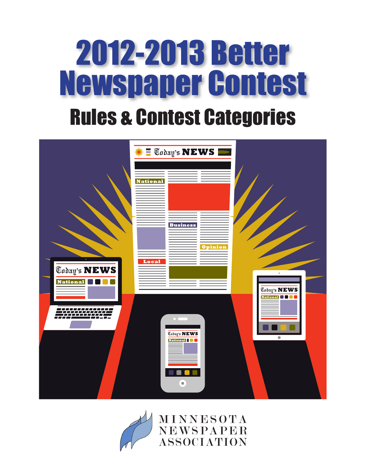



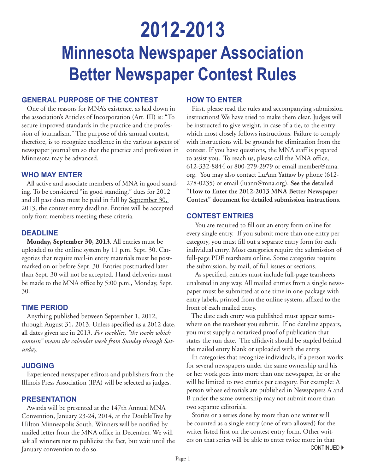# **2012-2013 Minnesota Newspaper Association Better Newspaper Contest Rules**

## **GENERAL PURPOSE OF THE CONTEST**

One of the reasons for MNA's existence, as laid down in the association's Articles of Incorporation (Art. III) is: "To secure improved standards in the practice and the profession of journalism." The purpose of this annual contest, therefore, is to recognize excellence in the various aspects of newspaper journalism so that the practice and profession in Minnesota may be advanced.

## **WHO MAY ENTER**

All active and associate members of MNA in good standing. To be considered "in good standing," dues for 2012 and all past dues must be paid in full by September 30, 2013, the contest entry deadline. Entries will be accepted only from members meeting these criteria.

## **DEADLINE**

**Monday, September 30, 2013**. All entries must be uploaded to the online system by 11 p.m. Sept. 30. Categories that require mail-in entry materials must be postmarked on or before Sept. 30. Entries postmarked later than Sept. 30 will not be accepted. Hand deliveries must be made to the MNA office by 5:00 p.m., Monday, Sept. 30.

## **TIME PERIOD**

Anything published between September 1, 2012, through August 31, 2013. Unless specified as a 2012 date, all dates given are in 2013. *For weeklies, "the weeks which contain" means the calendar week from Sunday through Saturday.*

## **JUDGING**

Experienced newspaper editors and publishers from the Illinois Press Association (IPA) will be selected as judges.

## **PRESENTATION**

Awards will be presented at the 147th Annual MNA Convention, January 23-24, 2014, at the DoubleTree by Hilton Minneapolis South. Winners will be notified by mailed letter from the MNA office in December. We will ask all winners not to publicize the fact, but wait until the January convention to do so.

## **HOW TO ENTER**

First, please read the rules and accompanying submission instructions! We have tried to make them clear. Judges will be instructed to give weight, in case of a tie, to the entry which most closely follows instructions. Failure to comply with instructions will be grounds for elimination from the contest. If you have questions, the MNA staff is prepared to assist you. To reach us, please call the MNA office, 612-332-8844 or 800-279-2979 or email member@mna. org. You may also contact LuAnn Yattaw by phone (612- 278-0235) or email (luann@mna.org). **See the detailed "How to Enter the 2012-2013 MNA Better Newspaper Contest" document for detailed submission instructions.**

## **CONTEST ENTRIES**

 You are required to fill out an entry form online for every single entry. If you submit more than one entry per category, you must fill out a separate entry form for each individual entry. Most categories require the submission of full-page PDF tearsheets online. Some categories require the submission, by mail, of full issues or sections.

 As specified, entries must include full-page tearsheets unaltered in any way. All mailed entries from a single newspaper must be submitted at one time in one package with entry labels, printed from the online system, affixed to the front of each mailed entry.

 The date each entry was published must appear somewhere on the tearsheet you submit. If no dateline appears, you must supply a notarized proof of publication that states the run date. The affidavit should be stapled behind the mailed entry blank or uploaded with the entry.

In categories that recognize individuals, if a person works for several newspapers under the same ownership and his or her work goes into more than one newspaper, he or she will be limited to two entries per category. For example: A person whose editorials are published in Newspapers A and B under the same ownership may not submit more than two separate editorials.

Stories or a series done by more than one writer will be counted as a single entry (one of two allowed) for the writer listed first on the contest entry form. Other writers on that series will be able to enter twice more in that **CONTINUED ▶**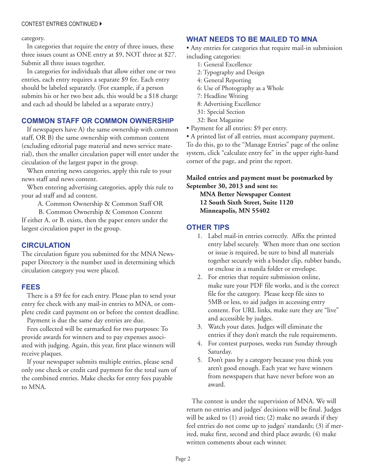### CONTEST ENTRIES CONTINUED

### category.

In categories that require the entry of three issues, these three issues count as ONE entry at \$9, NOT three at \$27. Submit all three issues together.

In categories for individuals that allow either one or two entries, each entry requires a separate \$9 fee. Each entry should be labeled separately. (For example, if a person submits his or her two best ads, this would be a \$18 charge and each ad should be labeled as a separate entry.)

## **COMMON STAFF OR COMMON OWNERSHIP**

If newspapers have A) the same ownership with common staff, OR B) the same ownership with common content (excluding editorial page material and news service material), then the smaller circulation paper will enter under the circulation of the largest paper in the group.

When entering news categories, apply this rule to your news staff and news content.

When entering advertising categories, apply this rule to your ad staff and ad content.

A. Common Ownership & Common Staff OR

B. Common Ownership & Common Content If either A. or B. exists, then the paper enters under the largest circulation paper in the group.

## **CIRCULATION**

The circulation figure you submitted for the MNA Newspaper Directory is the number used in determining which circulation category you were placed.

## **FEES**

There is a \$9 fee for each entry. Please plan to send your entry fee check with any mail-in entries to MNA, or complete credit card payment on or before the contest deadline.

Payment is due the same day entries are due.

Fees collected will be earmarked for two purposes: To provide awards for winners and to pay expenses associated with judging. Again, this year, first place winners will receive plaques.

If your newspaper submits multiple entries, please send only one check or credit card payment for the total sum of the combined entries. Make checks for entry fees payable to MNA.

## **WHAT NEEDS TO BE MAILED TO MNA**

• Any entries for categories that require mail-in submission including categories:

- 1: General Excellence
- 2: Typography and Design
- 4: General Reporting
- 6: Use of Photography as a Whole
- 7: Headline Writing
- 8: Advertising Excellence
- 31: Special Section
- 32: Best Magazine
- Payment for all entries: \$9 per entry.

• A printed list of all entries, must accompany payment.

To do this, go to the "Manage Entries" page of the online system, click "calculate entry fee" in the upper right-hand corner of the page, and print the report.

## **Mailed entries and payment must be postmarked by September 30, 2013 and sent to:**

**MNA Better Newspaper Contest 12 South Sixth Street, Suite 1120 Minneapolis, MN 55402** 

## **OTHER TIPS**

- 1. Label mail-in entries correctly. Affix the printed entry label securely. When more than one section or issue is required, be sure to bind all materials together securely with a binder clip, rubber bands, or enclose in a manila folder or envelope.
- 2. For entries that require submission online, make sure your PDF file works, and is the correct file for the category. Please keep file sizes to 5MB or less, to aid judges in accessing entry content. For URL links, make sure they are "live" and accessible by judges.
- 3. Watch your dates. Judges will eliminate the entries if they don't match the rule requirements.
- 4. For contest purposes, weeks run Sunday through Saturday.
- 5. Don't pass by a category because you think you aren't good enough. Each year we have winners from newspapers that have never before won an award.

The contest is under the supervision of MNA. We will return no entries and judges' decisions will be final. Judges will be asked to (1) avoid ties; (2) make no awards if they feel entries do not come up to judges' standards; (3) if merited, make first, second and third place awards; (4) make written comments about each winner.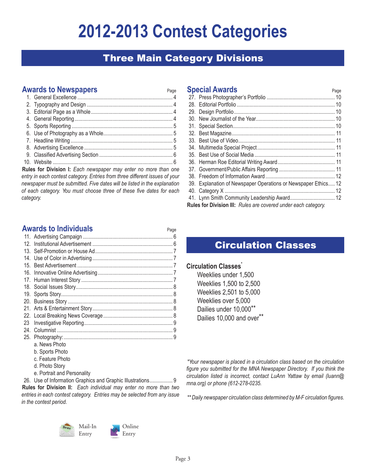# **2012-2013 Contest Categories**

## Three Main Category Divisions

## **Awards to Newspapers** Page

**Rules for Division I:** *Each newspaper may enter no more than one entry in each contest category. Entries from three different issues of your newspaper must be submitted. Five dates will be listed in the explanation of each category. You must choose three of these five dates for each category.*

## **Special Awards Page 1976**

| 39. Explanation of Newspaper Operations or Newspaper Ethics 12 |  |
|----------------------------------------------------------------|--|
|                                                                |  |
|                                                                |  |
| Rules for Division III: Rules are covered under each category. |  |

## **Awards to Individuals** Page

| 12.             |                             |  |
|-----------------|-----------------------------|--|
| 13.             |                             |  |
| 14 <sub>1</sub> |                             |  |
| $15 -$          |                             |  |
| 16.             |                             |  |
|                 |                             |  |
|                 |                             |  |
|                 |                             |  |
| 20.             |                             |  |
| 21.             |                             |  |
|                 |                             |  |
| 23              |                             |  |
| 24.             |                             |  |
|                 |                             |  |
|                 | a. News Photo               |  |
|                 | b. Sports Photo             |  |
|                 | c. Feature Photo            |  |
|                 | d. Photo Story              |  |
|                 | e. Portrait and Personality |  |

## 26. Use of Information Graphics and Graphic Illustrations................. 9

**Rules for Division II:** *Each individual may enter no more than two entries in each contest category. Entries may be selected from any issue in the contest period.*





Entry

## Circulation Classes

## **Circulation Classes\***

Weeklies under 1,500 Weeklies 1,500 to 2,500 Weeklies 2,501 to 5,000 Weeklies over 5,000 Dailies under 10,000\*\* Dailies 10,000 and over\*\*

*\*Your newspaper is placed in a circulation class based on the circulation figure you submitted for the MNA Newspaper Directory. If you think the circulation listed is incorrect, contact LuAnn Yattaw by email (luann@ mna.org) or phone (612-278-0235.*

*\*\* Daily newspaper circulation class determined by M-F circulation figures.*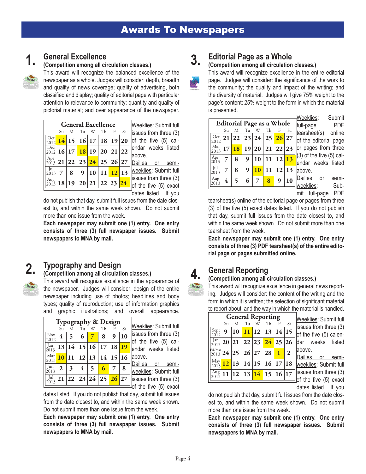## **1.**

## **General Excellence**

**(Competition among all circulation classes.)**

This award will recognize the balanced excellence of the newspaper as a whole. Judges will consider: depth, breadth and quality of news coverage; quality of advertising, both classified and display; quality of editorial page with particular attention to relevance to community; quantity and quality of pictorial material; and over appearance of the newspaper.

|               |    |   |    |   | <b>General Excellence</b>                |    |    |
|---------------|----|---|----|---|------------------------------------------|----|----|
|               | Su | M | Tu | W | Th                                       | -F | Sa |
| Oct           |    |   |    |   | $14$ 15   16   17   18   19   20         |    |    |
| Dec           |    |   |    |   | $\frac{1000}{2012}$ 16 17 18 19 20 21 22 |    |    |
| Apr<br>2013   |    |   |    |   | 21 22 23 24 25 26 27                     |    |    |
| 2013          |    | 8 |    |   | 9   10   11   12   13                    |    |    |
| Aug I<br>2013 |    |   |    |   | 18 19 20 21 22 23 24                     |    |    |

Weeklies: Submit full issues from three (3) of the five (5) calendar weeks listed above.

Dailies or semiweeklies: Submit full issues from three (3) of the five (5) exact dates listed. If you

do not publish that day, submit full issues from the date closest to, and within the same week shown. Do not submit more than one issue from the week.

**Each newspaper may submit one (1) entry. One entry consists of three (3) full newspaper issues. Submit newspapers to MNA by mail.**

#### **Typography and Design 2.**

## **(Competition among all circulation classes.)**

This award will recognize excellence in the appearance of the newspaper. Judges will consider: design of the entire newspaper including use of photos; headlines and body types; quality of reproduction; use of information graphics and graphic illustrations; and overall appearance.

|             |    |                        |    |                         | <b>Typography &amp; Design</b> |       |       |
|-------------|----|------------------------|----|-------------------------|--------------------------------|-------|-------|
|             | Su | М                      | Tи | W                       | Th                             |       | Sa    |
| Nov<br>2012 | 4  |                        | 6  |                         | 8                              | 9     | 10    |
| Jan<br>2013 | 13 | 14                     |    | 15 16                   | 17                             | 18    | 19    |
| Mar<br>2013 | 10 | 11                     |    | 12 13                   | 14                             |       | 15 16 |
| Jun<br>2013 | 2  | 3                      | 4  | $\overline{\mathbf{5}}$ | 6                              |       | 8     |
| Jul<br>2013 |    | 21   22   23   24   25 |    |                         |                                | 26 27 |       |

Weeklies: Submit full issues from three (3) of the five (5) calendar weeks listed above.

Dailies or semiweeklies: Submit full issues from three (3) of the five (5) exact

dates listed. If you do not publish that day, submit full issues from the date closest to, and within the same week shown. Do not submit more than one issue from the week.

**Each newspaper may submit one (1) entry. One entry consists of three (3) full newspaper issues. Submit newspapers to MNA by mail.**

### **Editorial Page as a Whole 3.**

## **(Competition among all circulation classes.)**

This award will recognize excellence in the entire editorial page. Judges will consider: the significance of the work to the community; the quality and impact of the writing; and the diversity of material. Judges will give 75% weight to the page's content; 25% weight to the form in which the material is presented.

| Oct         | Su | М                        |    |           | <b>Editorial Page as a Whole</b> |       |       |
|-------------|----|--------------------------|----|-----------|----------------------------------|-------|-------|
|             |    |                          | Tu | W         | Th                               |       | Sa    |
|             |    | 21 22                    |    |           | 23 24 25 26 27                   |       |       |
| Mar<br>2013 | 17 | 18                       |    | 19 20     | 21                               | 22 23 |       |
| Apr<br>2013 |    | 8                        | 9  | 10        | 11                               | 12 13 |       |
| Jul<br>2013 |    | 8                        | 9  | <b>10</b> | 11                               |       | 12 13 |
| Aug         | 4  | $\overline{\phantom{0}}$ | 6  | 7         | 8                                | 9     | 10    |

Weeklies: Submit -page PDF arsheet(s) online the editorial page pages from three (3) of the five (5) caldar weeks listed ove.

ilies or semieklies: Sub-

mit full-page PDF

tearsheet(s) online of the editorial page or pages from three (3) of the five (5) exact dates listed. If you do not publish that day, submit full issues from the date closest to, and within the same week shown. Do not submit more than one tearsheet from the week.

**Each newspaper may submit one (1) entry. One entry consists of three (3) PDF tearsheet(s) of the entire editorial page or pages submitted online.** 

## **General Reporting**

**4.**

### **(Competition among all circulation classes.)**

This award will recognize excellence in general news reporting. Judges will consider: the content of the writing and the form in which it is written; the selection of significant material to report about; and the way in which the material is handled.

| Su<br>9 | M<br>$\frac{10}{11}$ 12 13 14 15 | Tu | Th | F            | Sa                                                                                                                                                                                                       |
|---------|----------------------------------|----|----|--------------|----------------------------------------------------------------------------------------------------------------------------------------------------------------------------------------------------------|
|         |                                  |    |    |              |                                                                                                                                                                                                          |
|         |                                  |    |    |              |                                                                                                                                                                                                          |
|         |                                  |    |    |              |                                                                                                                                                                                                          |
|         |                                  |    |    | $\mathbf{1}$ | $\mathbf{2}$                                                                                                                                                                                             |
|         |                                  |    |    |              |                                                                                                                                                                                                          |
|         |                                  |    |    |              |                                                                                                                                                                                                          |
|         |                                  |    |    |              | $\overline{20}$  21  22  23  24  25  26<br>$\frac{1}{2013}$ 24 25 26 27 28<br>$\frac{\text{May}}{\text{2013}}$ 12 13 14 15 16 17 18<br>$\frac{\text{Aug}}{\text{long}}$ 11   12   13   14   15   16   17 |

**/eeklies: Submit full** issues from three (3) f the five (5) calenar weeks listed bove.

ailies or semieeklies: Submit full sues from three (3) the five  $(5)$  exact dates listed. If you

do not publish that day, submit full issues from the date closest to, and within the same week shown. Do not submit more than one issue from the week.

**Each newspaper may submit one (1) entry. One entry consists of three (3) full newspaper issues. Submit newspapers to MNA by mail.**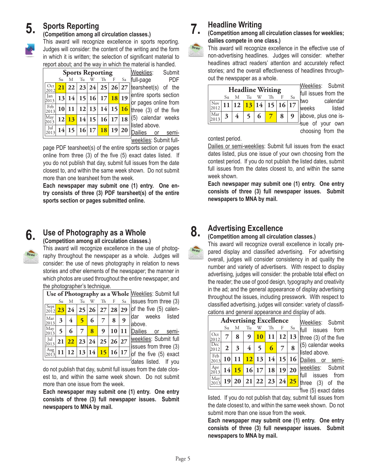#### **Sports Reporting 5.**

### **(Competition among all circulation classes.)**

This award will recognize excellence in sports reporting. Judges will consider: the content of the writing and the form in which it is written; the selection of significant material to report about; and the way in which the material is handled.

|               |    |   |    | <b>Sports Reporting</b>  |   |                        |
|---------------|----|---|----|--------------------------|---|------------------------|
|               | Su | M | Tu | W Th                     | F | Sa                     |
| Oct<br>2012   |    |   |    |                          |   | $21$ 22 23 24 25 26 27 |
| Jan<br>2013   |    |   |    | 13 14 15 16 17 18 19     |   |                        |
| Feb  <br>2013 |    |   |    | 10 11 12 13 14 15 16     |   |                        |
| May<br>2013   |    |   |    | $12\,$ 13 14 15 16 17 18 |   |                        |
| Jul<br>2013   |    |   |    | $14 15 16 17$ 18 19 20   |   |                        |

Weeklies: Submit full-page PDF tearsheet(s) of the entire sports section or pages online from three (3) of the five (5) calendar weeks listed above.

Dailies or semiweeklies: Submit full-

page PDF tearsheet(s) of the entire sports section or pages online from three (3) of the five (5) exact dates listed. If you do not publish that day, submit full issues from the date closest to, and within the same week shown. Do not submit more than one tearsheet from the week.

**Each newspaper may submit one (1) entry. One entry consists of three (3) PDF tearsheet(s) of the entire sports section or pages submitted online.** 



## **Use of Photography as a Whole**

**(Competition among all circulation classes.)**

This award will recognize excellence in the use of photography throughout the newspaper as a whole. Judges will consider: the use of news photography in relation to news stories and other elements of the newspaper; the manner in which photos are used throughout the entire newspaper; and the photographer's technique.

|             | Su   |                                       | Tu              | W |   |                                |   | $\mathcal{S}_a$ issues from three (3)                                                                                                                               |
|-------------|------|---------------------------------------|-----------------|---|---|--------------------------------|---|---------------------------------------------------------------------------------------------------------------------------------------------------------------------|
|             |      |                                       |                 |   |   |                                |   |                                                                                                                                                                     |
| Mar<br>2013 | 3    | 4                                     | 5               | 6 | 7 | 8                              | 9 | dar weeks listed<br>labove.                                                                                                                                         |
| May<br>2013 | 5    | 6                                     | 7               | 8 | 9 |                                |   | Dailies or semi-                                                                                                                                                    |
| Jul         |      |                                       |                 |   |   |                                |   | <b>weeklies: Submit full</b><br>$\frac{1}{2}$ issues from three (3)                                                                                                 |
|             |      |                                       |                 |   |   |                                |   | $\vert$ of the five (5) exact                                                                                                                                       |
|             | 2013 | Sept <sup>1</sup><br>Aug <sup>1</sup> | 21 <sup>1</sup> |   |   | Th<br>22 23 24 <br>11 12 13 14 |   | Use of Photography as a Whole Meeklies: Submit full<br>$F_{\perp}$<br>$23 24 25 26 27 28 29 $ of the five (5) calen-<br>10 11<br>25 26 27<br>$15 \vert 16 \vert 17$ |

|        |  | <u>WUUNIUU</u> . UUUHIIL IUII |
|--------|--|-------------------------------|
|        |  | issues from three (3)         |
|        |  | of the five (5) calen-        |
|        |  | dar weeks listed              |
| above. |  |                               |
|        |  | Dailies or semi-              |

eeklies: Submit full sues from three  $(3)$ the five  $(5)$  exact dates listed. If you

do not publish that day, submit full issues from the date closest to, and within the same week shown. Do not submit more than one issue from the week.

**Each newspaper may submit one (1) entry. One entry consists of three (3) full newspaper issues. Submit newspapers to MNA by mail.**

## **Headline Writing**

**(Competition among all circulation classes for weeklies; dailies compete in one class.)**



**7.**

## This award will recognize excellence in the effective use of non-advertising headlines. Judges will consider: whether headlines attract readers' attention and accurately reflect stories; and the overall effectiveness of headlines through-

| <b>Headline Writing</b> |    |                      |    |   |  |  |    |  |  |  |
|-------------------------|----|----------------------|----|---|--|--|----|--|--|--|
|                         | Su | M                    | Tu |   |  |  | Sa |  |  |  |
| Nov                     |    | 11 12 13 14 15 16 17 |    |   |  |  |    |  |  |  |
| Mar                     |    |                      |    | 6 |  |  |    |  |  |  |

out the newspaper as a whole.

Neeklies: Submit ull issues from the wo calendar weeks listed above, plus one issue of your own

choosing from the

contest period.

Dailies or semi-weeklies: Submit full issues from the exact dates listed, plus one issue of your own choosing from the contest period. If you do not publish the listed dates, submit full issues from the dates closest to, and within the same week shown.

**Each newspaper may submit one (1) entry. One entry consists of three (3) full newspaper issues. Submit newspapers to MNA by mail.**

#### **Advertising Excellence 8.**

### **(Competition among all circulation classes.)**

This award will recognize overall excellence in locally prepared display and classified advertising. For advertising overall, judges will consider consistency in ad quality the number and variety of advertisers. With respect to display advertising, judges will consider: the probable total effect on the reader; the use of good design, typography and creativity in the ad; and the general appearance of display advertising throughout the issues, including presswork. With respect to classified advertising, judges will consider: variety of classifications and general appearance and display of ads.

|                                                     | <b>Advertising Excellence</b> |   |                  |                |                                 |     |    |  |  |  |  |  |
|-----------------------------------------------------|-------------------------------|---|------------------|----------------|---------------------------------|-----|----|--|--|--|--|--|
|                                                     | Su                            | M | Tu               |                | W Th                            | – F | Sa |  |  |  |  |  |
| $\int$ Oct<br>2012                                  |                               | 8 | $\boldsymbol{9}$ |                | $10 \vert 11 \vert 12 \vert 13$ |     |    |  |  |  |  |  |
| $\overline{Dec}$<br>2012                            | $\mathbf{2}$                  | 3 | $\overline{4}$   | 5 <sup>5</sup> | $\overline{6}$                  |     | 8  |  |  |  |  |  |
| $\begin{array}{c}\n\text{Feb} \\ 2013\n\end{array}$ |                               |   |                  |                | $10 11 $ $12 13 14 15 16 $      |     |    |  |  |  |  |  |
| $\begin{bmatrix} Apr \\ 2013 \end{bmatrix}$         |                               |   |                  |                | $14$ 15 16 17 18 19 20          |     |    |  |  |  |  |  |
| $\sqrt{\frac{May}{2013}}$                           |                               |   |                  |                | 19 20 21 22 23 24               |     |    |  |  |  |  |  |
|                                                     |                               |   |                  |                |                                 |     |    |  |  |  |  |  |

Weeklies: Submit full issues from hree (3) of the five (5) calendar weeks listed above.

Dailies or semiweeklies: Submit full issues from three (3) of the five (5) exact dates

listed. If you do not publish that day, submit full issues from the date closest to, and within the same week shown. Do not submit more than one issue from the week.

**Each newspaper may submit one (1) entry. One entry consists of three (3) full newspaper issues. Submit newspapers to MNA by mail.**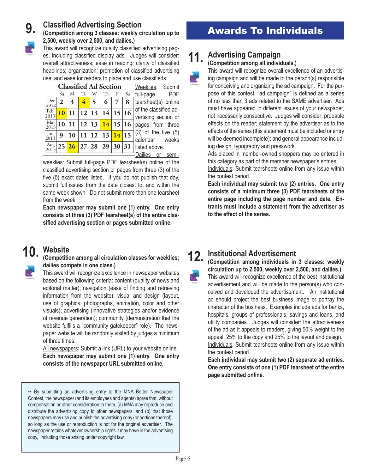**9.**

**(Competition among 3 classes: weekly circulation up to 2,500, weekly over 2,500, and dailies.)**



This award will recognize quality classified advertising pages, including classified display ads. Judges will consider: overall attractiveness; ease in reading; clarity of classified headlines; organization; promotion of classified advertising use; and ease for readers to place and use classifieds.

| <b>Classified Ad Section</b> |              |    |                |                          |                      |          |    |  |  |  |  |  |
|------------------------------|--------------|----|----------------|--------------------------|----------------------|----------|----|--|--|--|--|--|
|                              | Su           | M  | Tu             | W                        | Th                   | F        | Sa |  |  |  |  |  |
| Dec<br>2012                  | $\mathbf{2}$ | 3  | $\overline{4}$ | $\overline{\phantom{0}}$ | 6                    |          | 8  |  |  |  |  |  |
| Feb<br>2013                  | 10           | 11 |                | 12 13                    |                      | 14 15 16 |    |  |  |  |  |  |
| Mar<br>2013                  | 10           | 11 |                |                          | 12 13 14 15 16       |          |    |  |  |  |  |  |
| Jun<br>2013                  | 9            | 10 |                | 11 12                    | 13                   | 14       | 15 |  |  |  |  |  |
| Aug<br>2013                  |              |    |                |                          | 25 26 27 28 29 30 31 |          |    |  |  |  |  |  |

Weeklies: Submit full-page PDF tearsheet(s) online of the classified advertising section or pages from three  $(3)$  of the five  $(5)$ calendar weeks listed above. Dailies or semi-

weeklies: Submit full-page PDF tearsheet(s) online of the classified advertising section or pages from three (3) of the five (5) exact dates listed. If you do not publish that day, submit full issues from the date closest to, and within the same week shown. Do not submit more than one tearsheet from the week.

**Each newspaper may submit one (1) entry. One entry consists of three (3) PDF tearsheet(s) of the entire classified advertising section or pages submitted online.** 

#### **Website 10.**

**(Competition among all circulation classes for weeklies; dailies compete in one class.)**

This award will recognize excellence in newspaper websites based on the following criteria: content (quality of news and editorial matter); navigation (ease of finding and retrieving information from the website); visual and design (layout, use of graphics, photographs, animation, color and other visuals); advertising (innovative strategies and/or evidence of revenue generation); community (demonstration that the website fulfills a "community gatekeeper" role). The newspaper website will be randomly visited by judges a minimum of three times.

All newspapers: Submit a link (URL) to your website online. **Each newspaper may submit one (1) entry. One entry consists of the newspaper URL submitted online.** 

\*\* By submitting an advertising entry to the MNA Better Newspaper Contest, the newspaper (and its employees and agents) agree that, without compensation or other consideration to them, (a) MNA may reproduce and distribute the advertising copy to other newspapers, and (b) that those newspapers may use and publish the advertising copy (or portions thereof), so long as the use or reproduction is not for the original advertiser. The newspaper retains whatever ownership rights it may have in the advertising copy, including those arising under copyright law.

## Awards To Individuals **Classified Advertising Section**

#### **Advertising Campaign 11.**

## **(Competition among all individuals.)**

This award will recognize overall excellence of an advertising campaign and will be made to the person(s) responsible for conceiving and organizing the ad campaign. For the purpose of this contest, "ad campaign" is defined as a series of no less than 3 ads related to the SAME advertiser. Ads must have appeared in different issues of your newspaper, not necessarily consecutive. Judges will consider: probable effects on the reader; statement by the advertiser as to the effects of the series (this statement must be included or entry will be deemed incomplete); and general appearance including design, typography and presswork.

Ads placed in member-owned shoppers may be entered in this category as part of the member newspaper's entries.

Individuals: Submit tearsheets online from any issue within the contest period.

**Each individual may submit two (2) entries. One entry consists of a minimum three (3) PDF tearsheets of the entire page including the page number and date. Entrants must include a statement from the advertiser as to the effect of the series.**

#### **Institutional Advertisement 12.**

**(Competition among individuals in 3 classes: weekly circulation up to 2,500, weekly over 2,500, and dailies.)**

This award will recognize excellence of the best institutional advertisement and will be made to the person(s) who conceived and developed the advertisement. An institutional ad should project the best business image or portray the character of the business. Examples include ads for banks, hospitals, groups of professionals, savings and loans, and utility companies. Judges will consider: the attractiveness of the ad as it appeals to readers, giving 50% weight to the appeal, 25% to the copy and 25% to the layout and design. Individuals: Submit tearsheets online from any issue within the contest period.

**Each individual may submit two (2) separate ad entries. One entry consists of one (1) PDF tearsheet of the entire page submitted online.**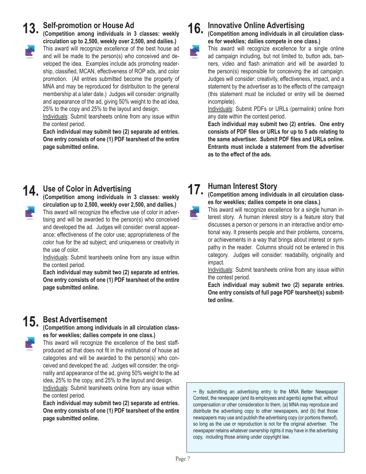## **Self-promotion or House Ad 13.**

**(Competition among individuals in 3 classes: weekly circulation up to 2,500, weekly over 2,500, and dailies.)** This award will recognize excellence of the best house ad and will be made to the person(s) who conceived and developed the idea. Examples include ads promoting readership, classified, MCAN, effectiveness of ROP ads, and color promotion. (All entries submitted become the property of

MNA and may be reproduced for distribution to the general membership at a later date.) Judges will consider: originality and appearance of the ad, giving 50% weight to the ad idea, 25% to the copy and 25% to the layout and design.

Individuals: Submit tearsheets online from any issue within the contest period.

**Each individual may submit two (2) separate ad entries. One entry consists of one (1) PDF tearsheet of the entire page submitted online.**

## **Use of Color in Advertising 14.**

**(Competition among individuals in 3 classes: weekly circulation up to 2,500, weekly over 2,500, and dailies.)** This award will recognize the effective use of color in advertising and will be awarded to the person(s) who conceived and developed the ad. Judges will consider: overall appearance; effectiveness of the color use; appropriateness of the color hue for the ad subject; and uniqueness or creativity in the use of color.

Individuals: Submit tearsheets online from any issue within the contest period.

**Each individual may submit two (2) separate ad entries. One entry consists of one (1) PDF tearsheet of the entire page submitted online.**

## **Best Advertisement 15.**

**(Competition among individuals in all circulation classes for weeklies; dailies compete in one class.)**

This award will recognize the excellence of the best staffproduced ad that does not fit in the institutional of house ad categories and will be awarded to the person(s) who conceived and developed the ad. Judges will consider: the originality and appearance of the ad, giving 50% weight to the ad idea, 25% to the copy, and 25% to the layout and design.

Individuals: Submit tearsheets online from any issue within the contest period.

**Each individual may submit two (2) separate ad entries. One entry consists of one (1) PDF tearsheet of the entire page submitted online.**

#### **Innovative Online Advertising 16.**

### **(Competition among individuals in all circulation classes for weeklies; dailies compete in one class.)**

This award will recognize excellence for a single online ad campaign including, but not limited to, button ads, banners, video and flash animation and will be awarded to the person(s) responsible for conceiving the ad campaign. Judges will consider: creativity, effectiveness, impact, and a statement by the advertiser as to the effects of the campaign (this statement must be included or entry will be deemed incomplete).

Individuals: Submit PDFs or URLs (permalink) online from any date within the contest period.

**Each individual may submit two (2) entries. One entry consists of PDF files or URLs for up to 5 ads relating to the same advertiser. Submit PDF files and URLs online. Entrants must include a statement from the advertiser as to the effect of the ads.**

#### **Human Interest Story 17.**

**(Competition among individuals in all circulation classes for weeklies; dailies compete in one class.)** 

This award will recognize excellence for a single human interest story. A human interest story is a feature story that discusses a person or persons in an interactive and/or emotional way. It presents people and their problems, concerns, or achievements in a way that brings about interest or sympathy in the reader. Columns should not be entered in this category. Judges will consider: readability, originality and impact.

Individuals: Submit tearsheets online from any issue within the contest period.

**Each individual may submit two (2) separate entries. One entry consists of full page PDF tearsheet(s) submitted online.**

\*\* By submitting an advertising entry to the MNA Better Newspaper Contest, the newspaper (and its employees and agents) agree that, without compensation or other consideration to them, (a) MNA may reproduce and distribute the advertising copy to other newspapers, and (b) that those newspapers may use and publish the advertising copy (or portions thereof), so long as the use or reproduction is not for the original advertiser. The newspaper retains whatever ownership rights it may have in the advertising copy, including those arising under copyright law.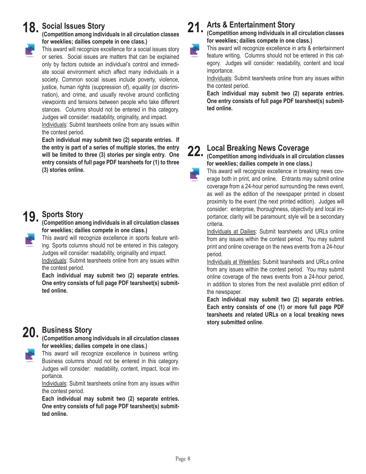## 18. Social Issues Story



This award will recognize excellence for a social issues story or series. Social issues are matters that can be explained only by factors outside an individual's control and immediate social environment which affect many individuals in a society. Common social issues include poverty, violence, justice, human rights (suppression of), equality (or discrimination), and crime, and usually revolve around conflicting viewpoints and tensions between people who take different stances. Columns should not be entered in this category. Judges will consider: readability, originality, and impact.

Individuals: Submit tearsheets online from any issues within the contest period.

**Each individual may submit two (2) separate entries. If the entry is part of a series of multiple stories, the entry will be limited to three (3) stories per single entry. One entry consists of full page PDF tearsheets for (1) to three (3) stories online.**

# **Sports Story 19.**

**(Competition among individuals in all circulation classes for weeklies; dailies compete in one class.)** 

This award will recognize excellence in sports feature writing. Sports columns should not be entered in this category. Judges will consider: readability, originality and impact.

Individuals: Submit tearsheets online from any issues within the contest period.

**Each individual may submit two (2) separate entries. One entry consists of full page PDF tearsheet(s) submitted online.**

## **Business Story 20.**

**(Competition among individuals in all circulation classes for weeklies; dailies compete in one class.)** 

This award will recognize excellence in business writing. Business columns should not be entered in this category. Judges will consider: readability, content, impact, local importance.

Individuals: Submit tearsheets online from any issues within the contest period.

**Each individual may submit two (2) separate entries. One entry consists of full page PDF tearsheet(s) submitted online.**

#### **Arts & Entertainment Story 21.**

**(Competition among individuals in all circulation classes for weeklies; dailies compete in one class.)** 

This award will recognize excellence in arts & entertainment feature writing. Columns should not be entered in this category. Judges will consider: readability, content and local importance.

Individuals: Submit tearsheets online from any issues within the contest period.

**Each individual may submit two (2) separate entries. One entry consists of full page PDF tearsheet(s) submitted online.**

## **Local Breaking News Coverage 22.**



**(Competition among individuals in all circulation classes for weeklies; dailies compete in one class.)** 

This award will recognize excellence in breaking news coverage both in print, and online. Entrants may submit online coverage from a 24-hour period surrounding the news event, as well as the edition of the newspaper printed in closest proximity to the event (the next printed edition). Judges will consider: enterprise, thoroughness, objectivity and local importance; clarity will be paramount; style will be a secondary criteria.

Individuals at Dailies: Submit tearsheets and URLs online from any issues within the contest period. You may submit print and online coverage on the news events from a 24-hour period.

Individuals at Weeklies: Submit tearsheets and URLs online from any issues within the contest period. You may submit online coverage of the news events from a 24-hour period, in addition to stories from the next available print edition of the newspaper.

**Each individual may submit two (2) separate entries. Each entry consists of one (1) or more full page PDF tearsheets and related URLs on a local breaking news story submitted online.**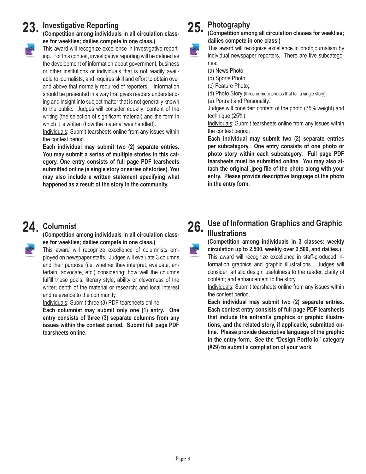## 23. Investigative Reporting<br> **Competition among individuals**

**(Competition among individuals in all circulation classes for weeklies; dailies compete in one class.)** 



This award will recognize excellence in investigative report-

ing. For this contest, investigative reporting will be defined as the development of information about government, business or other institutions or individuals that is not readily available to journalists, and requires skill and effort to obtain over and above that normally required of reporters. Information should be presented in a way that gives readers understanding and insight into subject matter that is not generally known to the public. Judges will consider equally: content of the writing (the selection of significant material) and the form in which it is written (how the material was handled).

Individuals: Submit tearsheets online from any issues within the contest period.

**Each individual may submit two (2) separate entries. You may submit a series of multiple stories in this category. One entry consists of full page PDF tearsheets submitted online (a single story or series of stories). You may also include a written statement specifying what happened as a result of the story in the community.**

## 24. Columnist

**(Competition among individuals in all circulation classes for weeklies; dailies compete in one class.)** 

This award will recognize excellence of columnists employed on newspaper staffs. Judges will evaluate 3 columns and their purpose (i.e. whether they interpret, evaluate, entertain, advocate, etc.) considering: how well the columns fulfill these goals; literary style; ability or cleverness of the writer; depth of the material or research; and local interest and relevance to the community.

Individuals: Submit three (3) PDF tearsheets online.

**Each columnist may submit only one (1) entry. One entry consists of three (3) separate columns from any issues within the contest period. Submit full page PDF tearsheets online.**

#### **Photography 25.**

**(Competition among all circulation classes for weeklies; dailies compete in one class.)** 

This award will recognize excellence in photojournalism by individual newspaper reporters. There are five subcategories:

(a) News Photo;

(b) Sports Photo;

(c) Feature Photo;

(d) Photo Story (three or more photos that tell a single story);

(e) Portrait and Personality.

Judges will consider: content of the photo (75% weight) and technique (25%).

Individuals: Submit tearsheets online from any issues within the contest period.

**Each individual may submit two (2) separate entries per subcategory. One entry consists of one photo or photo story within each subcategory. Full page PDF tearsheets must be submitted online. You may also attach the original .jpeg file of the photo along with your entry. Please provide descriptive language of the photo in the entry form.**

#### **Use of Information Graphics and Graphic Illustrations 26.**

**(Competition among individuals in 3 classes: weekly circulation up to 2,500, weekly over 2,500, and dailies.)** This award will recognize excellence in staff-produced information graphics and graphic illustrations. Judges will consider: artistic design; usefulness to the reader, clarity of content; and enhancement to the story.

Individuals: Submit tearsheets online from any issues within the contest period.

**Each individual may submit two (2) separate entries. Each contest entry consists of full page PDF tearsheets that include the entrant's graphics or graphic illustrations, and the related story, if applicable, submitted online. Please provide descriptive language of the graphic in the entry form. See the "Design Portfolio" category (#29) to submit a compliation of your work.**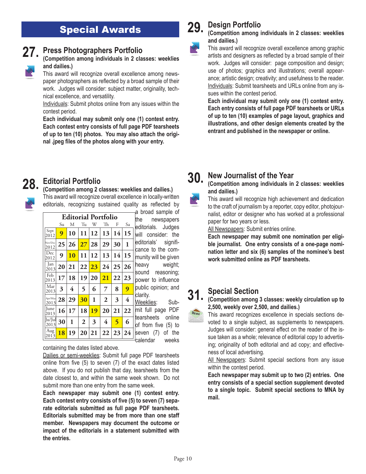## Special Awards



## **Press Photographers Portfolio**

**(Competition among individuals in 2 classes: weeklies and dailies.)**

This award will recognize overall excellence among newspaper photographers as reflected by a broad sample of their work. Judges will consider: subject matter, originality, technical excellence, and versatility.

Individuals: Submit photos online from any issues within the contest period.

**Each individual may submit only one (1) contest entry. Each contest entry consists of full page PDF tearsheets of up to ten (10) photos. You may also attach the original .jpeg files of the photos along with your entry.** 

#### **Design Portfolio 29.**

## **(Competition among individuals in 2 classes: weeklies and dailies.)**

This award will recognize overall excellence among graphic artists and designers as reflected by a broad sample of their work. Judges will consider: page composition and design; use of photos; graphics and illustrations; overall appearance; artistic design; creativity; and usefulness to the reader. Individuals: Submit tearsheets and URLs online from any issues within the contest period.

**Each individual may submit only one (1) contest entry. Each entry consists of full page PDF tearsheets or URLs of up to ten (10) examples of page layout, graphics and illustrations, and other design elements created by the entrant and published in the newspaper or online.**

# **28.**

## **Editorial Portfolio**

### **(Competition among 2 classes: weeklies and dailies.)**

This award will recognize overall excellence in locally-written editorials, recognizing sustained quality as reflected by

|                     |    |                            |                    |    |              |    |                         | a broad sample of                            |
|---------------------|----|----------------------------|--------------------|----|--------------|----|-------------------------|----------------------------------------------|
|                     |    | <b>Editorial Portfolio</b> | lthe<br>newspapers |    |              |    |                         |                                              |
|                     | Su | М                          | Tu                 | W  | Th           | F  | Sa                      | editorials. Judges                           |
| Sept<br>2012        | 9  | 10                         | 11                 | 12 | 13           | 14 | 15                      | will consider: the                           |
| Nov/Dec<br>2012     | 25 | 26                         | $27\,$             | 28 | 29           | 30 | 1                       | editorials'<br>signifi-<br>cance to the com- |
| Dec<br>2012         | 9  | 10                         | 11                 | 12 | 13           | 14 | 15                      | munity will be given                         |
| Jan<br>2013         | 20 | 21                         | 22                 | 23 | 24           | 25 | 26                      | weight;<br>heavy<br>sound<br>reasoning;      |
| Feb<br>2013         | 17 | 18                         | 19                 | 20 | 21           | 22 | 23                      | power to influence                           |
| Mar<br>2013         | 3  | 4                          | 5                  | 6  | 7            | 8  | 9                       | public opinion; and                          |
| Apr/May<br>2013     | 28 | 29                         | 30                 | 1  | $\mathbf{2}$ | 3  | $\overline{\mathbf{4}}$ | clarity.<br>Weeklies:<br>Sub-                |
| <b>Iune</b><br>2013 | 16 | 17                         | 18                 | 19 | 20           | 21 | 22                      | mit full page<br><b>PDF</b>                  |
| Ju/Jul<br>2013      | 30 | 1                          | $\overline{2}$     | 3  | 4            | 5  | 6                       | tearsheets<br>online<br>of from five (5) to  |
| Aug<br>2013         | 18 | 19                         | 20                 | 21 | 22           | 23 | 24                      | the<br>seven<br>(7)<br>οt                    |

<u>lies</u>: Submit full page PDF heets online om five (5) to า (7) of the calendar weeks

containing the dates listed above.

Dailies or semi-weeklies: Submit full page PDF tearsheets online from five (5) to seven (7) of the exact dates listed above. If you do not publish that day, tearsheets from the date closest to, and within the same week shown. Do not submit more than one entry from the same week.

**Each newspaper may submit one (1) contest entry. Each contest entry consists of five (5) to seven (7) separate editorials submitted as full page PDF tearsheets. Editorials submitted may be from more than one staff member. Newspapers may document the outcome or impact of the editorials in a statement submitted with the entries.**

#### **New Journalist of the Year 30.**

**(Competition among individuals in 2 classes: weeklies and dailies.)**

This award will recognize high achievement and dedication to the craft of journalism by a reporter, copy editor, photojournalist, editor or designer who has worked at a professional paper for two years or less.

All Newspapers: Submit entries online.

**Each newspaper may submit one nomination per eligible journalist. One entry consists of a one-page nomination letter and six (6) samples of the nominee's best work submitted online as PDF tearsheets.**

## **Special Section 31.**



This award recognizes excellence in specials sections devoted to a single subject, as supplements to newspapers. Judges will consider: general effect on the reader of the issue taken as a whole; relevance of editorial copy to advertising; originality of both editorial and ad copy; and effectiveness of local advertising.

All Newspapers: Submit special sections from any issue within the contest period.

**Each newspaper may submit up to two (2) entries. One entry consists of a special section supplement devoted to a single topic. Submit special sections to MNA by mail.**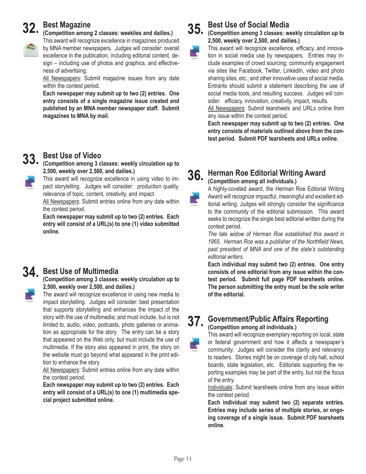## **Best Magazine 32.**

**(Competition among 2 classes: weeklies and dailies.)**



This award will recognize excellence in magazines produced by MNA member newspapers. Judges will consider: overall excellence in the publication, including editorial content, de-

sign – including use of photos and graphics, and effectiveness of advertising. All Newspapers: Submit magazine issues from any date

within the contest period.

**Each newspaper may submit up to two (2) entries. One entry consists of a single magazine issue created and published by an MNA member newspaper staff. Submit magazines to MNA by mail.**

## **Best Use of Video 33.**

**(Competition among 3 classes: weekly circulation up to 2,500, weekly over 2,500, and dailies.)**

This award will recognize excellence in using video to impact storytelling. Judges will consider: production quality, relevance of topic, content, creativity, and impact.

All Newspapers: Submit entries online from any date within the contest period.

**Each newspaper may submit up to two (2) entries. Each entry will consist of a URL(s) to one (1) video submitted online.** 

## **Best Use of Multimedia 34.**

**(Competition among 3 classes: weekly circulation up to 2,500, weekly over 2,500, and dailies.)**

The award will recognize excellence in using new media to impact storytelling. Judges will consider: best presentation that supports storytelling and enhances the impact of the story with the use of multimedia; and must include, but is not limited to, audio, video, podcasts, photo galleries or animation as appropriate for the story. The entry can be a story that appeared on the Web only, but must include the use of multimedia. If the story also appeared in print, the story on the website must go beyond what appeared in the print edition to enhance the story.

All Newspapers: Submit entries online from any date within the contest period.

**Each newspaper may submit up to two (2) entries. Each entry will consist of a URL(s) to one (1) multimedia special project submitted online.** 

## **Best Use of Social Media 35.**

## **(Competition among 3 classes: weekly circulation up to 2,500, weekly over 2,500, and dailies.)**

This award will recognize excellence, efficacy, and innovation in social media use by newspapers. Entries may include examples of crowd sourcing; community engagement via sites like Facebook, Twitter, LinkedIn, video and photo sharing sites, etc.; and other innovative uses of social media. Entrants should submit a statement describing the use of social media tools, and resulting success. Judges will consider: efficacy, innovation, creativity, impact, results.

All Newspapers: Submit tearsheets and URLs online from any issue within the contest period.

**Each newspaper may submit up to two (2) entries. One entry consists of materials outlined above from the contest period. Submit PDF tearsheets and URLs online.**

## **36.**

## **Herman Roe Editorial Writing Award (Competition among all individuals.)**

A highly-coveted award, the Herman Roe Editorial Writing Award will recognize impactful, meaningful and excellent editorial writing. Judges will strongly consider the significance to the community of the editorial submission. This award seeks to recognize the single best editorial written during the contest period.

*The late widow of Herman Roe established this award in 1965. Herman Roe was a publisher of the Northfield News, past president of MNA and one of the state's outstanding editorial writers.*

**Each individual may submit two (2) entries. One entry consists of one editorial from any issue within the contest period. Submit full page PDF tearsheets online. The person submitting the entry must be the sole writer of the editorial.**

#### **Government/Public Affairs Reporting 37.**

### **(Competition among all individuals.)**

This award will recognize exemplary reporting on local, state or federal government and how it affects a newspaper's community. Judges will consider the clarity and relevancy to readers. Stories might be on coverage of city hall, school boards, state legislation, etc. Editorials supporting the reporting examples may be part of the entry, but not the focus of the entry.

Individuals: Submit tearsheets online from any issue within the contest period.

**Each individual may submit two (2) separate entries. Entries may include series of multiple stories, or ongoing coverage of a single issue. Submit PDF tearsheets online.**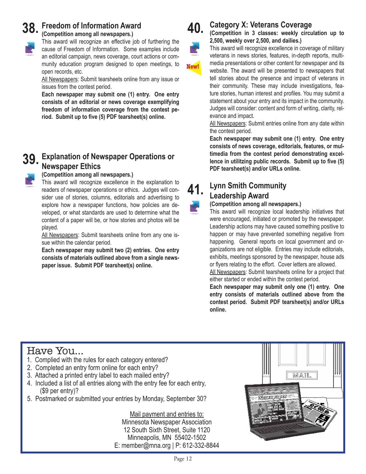## **38.** Freedom of Information Award Competition among all newspapers.

**(Competition among all newspapers.)**

This award will recognize an effective job of furthering the cause of Freedom of Information. Some examples include an editorial campaign, news coverage, court actions or community education program designed to open meetings, to open records, etc.

All Newspapers: Submit tearsheets online from any issue or issues from the contest period.

**Each newspaper may submit one (1) entry. One entry consists of an editorial or news coverage exemplifying freedom of information coverage from the contest period. Submit up to five (5) PDF tearsheet(s) online.**

## **Explanation of Newspaper Operations or 39. Newspaper Ethics**

## **(Competition among all newspapers.)**

This award will recognize excellence in the explanation to readers of newspaper operations or ethics. Judges will consider use of stories, columns, editorials and advertising to explore how a newspaper functions, how policies are developed, or what standards are used to determine what the content of a paper will be, or how stories and photos will be played.

All Newspapers: Submit tearsheets online from any one issue within the calendar period.

**Each newspaper may submit two (2) entries. One entry consists of materials outlined above from a single newspaper issue. Submit PDF tearsheet(s) online.**



## **Category X: Veterans Coverage**

**(Competition in 3 classes: weekly circulation up to 2,500, weekly over 2,500, and dailies.)**



This award will recognize excellence in coverage of military veterans in news stories, features, in-depth reports, multimedia presentations or other content for newspaper and its website. The award will be presented to newspapers that tell stories about the presence and impact of veterans in their community. These may include investigations, feature stories, human interest and profiles. You may submit a

statement about your entry and its impact in the community. Judges will consider: content and form of writing, clarity, relevance and impact.

All Newspapers: Submit entries online from any date within the contest period.

**Each newspaper may submit one (1) entry. One entry consists of news coverage, editorials, features, or multimedia from the contest period demonstrating excellence in utilitzing public records. Submit up to five (5) PDF tearsheet(s) and/or URLs online.**



## **Lynn Smith Community Leadership Award**

## **(Competition among all newspapers.)**

This award will recognize local leadership initiatives that were encouraged, initiated or promoted by the newspaper. Leadership actions may have caused something positive to happen or may have prevented something negative from happening. General reports on local government and organizations are not eligible. Entries may include editorials, exhibits, meetings sponsored by the newspaper, house ads or flyers relating to the effort. Cover letters are allowed.

All Newspapers: Submit tearsheets online for a project that either started or ended within the contest period.

**Each newspaper may submit only one (1) entry. One entry consists of materials outlined above from the contest period. Submit PDF tearsheet(s) and/or URLs online.** 

## Have You…

- 1. Complied with the rules for each category entered?
- 2. Completed an entry form online for each entry?
- 3. Attached a printed entry label to each mailed entry?
- 4. Included a list of all entries along with the entry fee for each entry, (\$9 per entry)?
- 5. Postmarked or submitted your entries by Monday, September 30?

Mail payment and entries to: Minnesota Newspaper Association 12 South Sixth Street, Suite 1120 Minneapolis, MN 55402-1502 E: member@mna.org | P: 612-332-8844

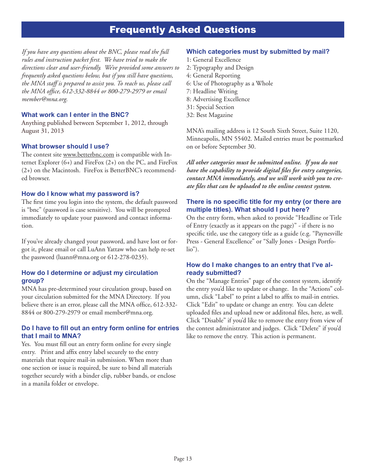## Frequently Asked Questions

*If you have any questions about the BNC, please read the full rules and instruction packet first. We have tried to make the directions clear and user-friendly. We've provided some answers to frequently asked questions below, but if you still have questions, the MNA staff is prepared to assist you. To reach us, please call the MNA office, 612-332-8844 or 800-279-2979 or email member@mna.org.*

## **What work can I enter in the BNC?**

Anything published between September 1, 2012, through August 31, 2013

## **What browser should I use?**

The contest site www.betterbnc.com is compatible with Internet Explorer (6+) and FireFox (2+) on the PC, and FireFox (2+) on the Macintosh. FireFox is BetterBNC's recommended browser.

## **How do I know what my password is?**

The first time you login into the system, the default password is "bnc" (password is case sensitive). You will be prompted immediately to update your password and contact information.

If you've already changed your password, and have lost or forgot it, please email or call LuAnn Yattaw who can help re-set the password (luann@mna.org or 612-278-0235).

## **How do I determine or adjust my circulation group?**

MNA has pre-determined your circulation group, based on your circulation submitted for the MNA Directory. If you believe there is an error, please call the MNA office, 612-332- 8844 or 800-279-2979 or email member@mna.org.

## **Do I have to fill out an entry form online for entries that I mail to MNA?**

Yes. You must fill out an entry form online for every single entry. Print and affix entry label securely to the entry materials that require mail-in submission. When more than one section or issue is required, be sure to bind all materials together securely with a binder clip, rubber bands, or enclose in a manila folder or envelope.

## **Which categories must by submitted by mail?**

- 1: General Excellence
- 2: Typography and Design
- 4: General Reporting
- 6: Use of Photography as a Whole
- 7: Headline Writing
- 8: Advertising Excellence
- 31: Special Section
- 32: Best Magazine

MNA's mailing address is 12 South Sixth Street, Suite 1120, Minneapolis, MN 55402. Mailed entries must be postmarked on or before September 30.

*All other categories must be submitted online. If you do not have the capability to provide digital files for entry categories, contact MNA immediately, and we will work with you to create files that can be uploaded to the online contest system.*

### **There is no specific title for my entry (or there are multiple titles). What should I put here?**

On the entry form, when asked to provide "Headline or Title of Entry (exactly as it appears on the page)" - if there is no specific title, use the category title as a guide (e.g. "Paynesville Press - General Excellence" or "Sally Jones - Design Portfolio").

## **How do I make changes to an entry that I've already submitted?**

On the "Manage Entries" page of the contest system, identify the entry you'd like to update or change. In the "Actions" column, click "Label" to print a label to affix to mail-in entries. Click "Edit" to update or change an entry. You can delete uploaded files and upload new or additonal files, here, as well. Click "Disable" if you'd like to remove the entry from view of the contest administrator and judges. Click "Delete" if you'd like to remove the entry. This action is permanent.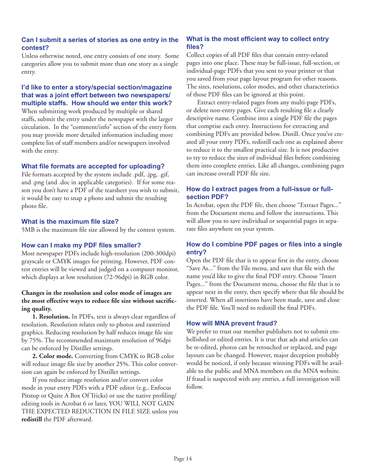## **Can I submit a series of stories as one entry in the contest?**

Unless otherwise noted, one entry consists of one story. Some categories allow you to submit more than one story as a single entry.

## **I'd like to enter a story/special section/magazine that was a joint effort between two newspapers/ multiple staffs. How should we enter this work?**

When submitting work produced by multiple or shared staffs, submit the entry under the newspaper with the larger circulation. In the "comment/info" section of the entry form you may provide more detailed information including more complete list of staff members and/or newspapers involved with the entry.

## **What file formats are accepted for uploading?**

File formats accepted by the system include .pdf, .jpg, .gif, and .png (and .doc in applicable categories). If for some reason you don't have a PDF of the tearsheet you wish to submit, it would be easy to snap a photo and submit the resulting photo file.

## **What is the maximum file size?**

5MB is the maximum file size allowed by the contest system.

## **How can I make my PDF files smaller?**

Most newspaper PDFs include high-resolution (200-300dpi) grayscale or CMYK images for printing. However, PDF contest entries will be viewed and judged on a computer monitor, which displays at low resolution (72-96dpi) in RGB color.

## **Changes in the resolution and color mode of images are the most effective ways to reduce file size without sacrificing quality.**

**1. Resolution.** In PDFs, text is always clear regardless of resolution. Resolution relates only to photos and rasterized graphics. Reducing resolution by half reduces image file size by 75%. The recommended maximum resolution of 96dpi can be enforced by Distiller settings.

**2. Color mode.** Converting from CMYK to RGB color will reduce image file size by another 25%. This color conversion can again be enforced by Distiller settings.

If you reduce image resolution and/or convert color mode in your entry PDFs with a PDF editor (e.g., Enfocus Pitstop or Quite A Box Of Tricks) or use the native profiling/ editing tools in Acrobat 6 or later, YOU WILL NOT GAIN THE EXPECTED REDUCTION IN FILE SIZE unless you **redistill** the PDF afterward.

## **What is the most efficient way to collect entry files?**

Collect copies of all PDF files that contain entry-related pages into one place. These may be full-issue, full-section, or individual-page PDFs that you sent to your printer or that you saved from your page layout program for other reasons. The sizes, resolutions, color modes, and other characteristics of those PDF files can be ignored at this point.

Extract entry-related pages from any multi-page PDFs, or delete non-entry pages. Give each resulting file a clearly descriptive name. Combine into a single PDF file the pages that comprise each entry. Instructions for extracting and combining PDFs are provided below. Distill. Once you've created all your entry PDFs, redistill each one as explained above to reduce it to the smallest practical size. It is not productive to try to reduce the sizes of individual files before combining them into complete entries. Like all changes, combining pages can increase overall PDF file size.

## **How do I extract pages from a full-issue or fullsection PDF?**

In Acrobat, open the PDF file, then choose "Extract Pages..." from the Document menu and follow the instructions. This will allow you to save individual or sequential pages in separate files anywhere on your system.

## **How do I combine PDF pages or files into a single entry?**

Open the PDF file that is to appear first in the entry, choose "Save As..." from the File menu, and save that file with the name you'd like to give the final PDF entry. Choose "Insert Pages..." from the Document menu, choose the file that is to appear next in the entry, then specify where that file should be inserted. When all insertions have been made, save and close the PDF file. You'll need to redistill the final PDFs.

### **How will MNA prevent fraud?**

We prefer to trust our member publishers not to submit embellished or edited entries. It is true that ads and articles can be re-edited, photos can be retouched or replaced, and page layouts can be changed. However, major deception probably would be noticed, if only because winning PDFs will be available to the public and MNA members on the MNA website. If fraud is suspected with any entries, a full investigation will follow.